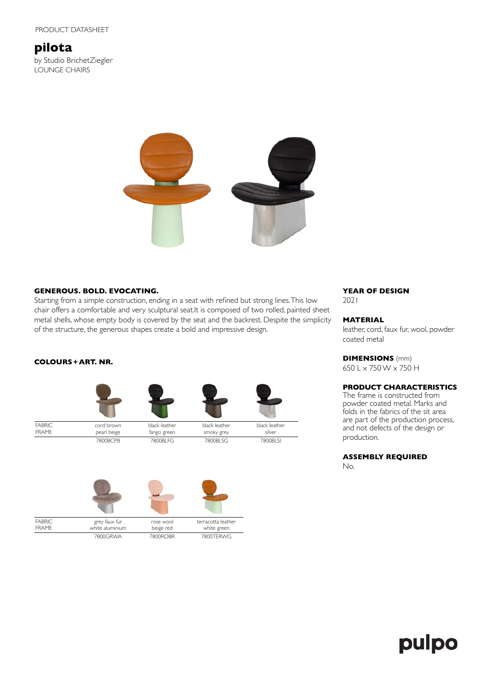# **pilota**

by Studio BrichetZiegler LOUNGE CHAIRS



## **GENEROUS. BOLD. EVOCATING.**

Starting from a simple construction, ending in a seat with refined but strong lines. This low chair offers a comfortable and very sculptural seat.It is composed of two rolled, painted sheet metal shells, whose empty body is covered by the seat and the backrest. Despite the simplicity of the structure, the generous shapes create a bold and impressive design.

## **COLOURS+ART. NR.**



7800BCPB 7800BLFG 7800BLSG 7800BLSI



# **YEAR OF DESIGN**

2021

### **MATERIAL**

leather, cord, faux fur, wool, powder coated metal

# **DIMENSIONS** (mm)

650 L x 750 W x 750 H

# **PRODUCT CHARACTERISTICS**

The frame is constructed from powder coated metal. Marks and folds in the fabrics of the sit area are part of the production process, and not defects of the design or production.

# **ASSEMBLY REQUIRED**

No.

# pulpo